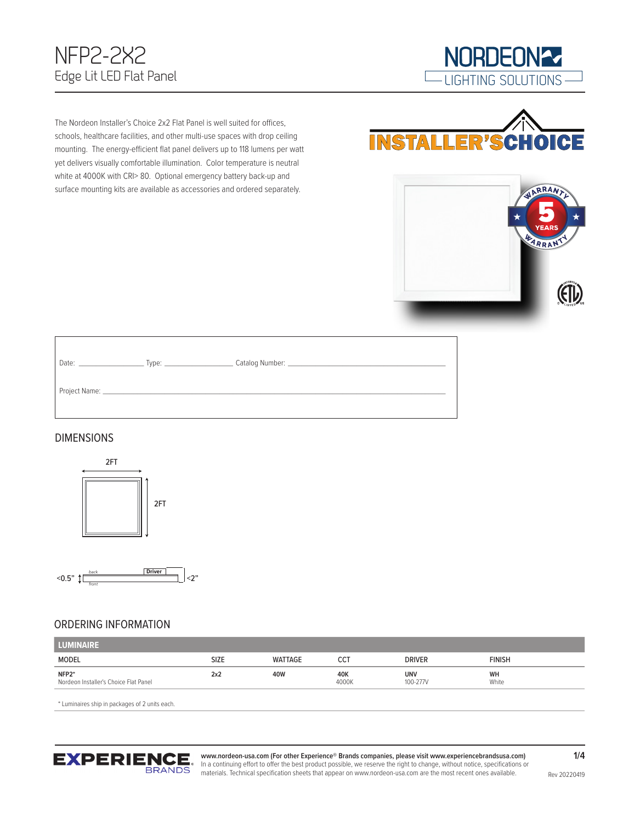## NFP2-2X2 Edge Lit LED Flat Panel



The Nordeon Installer's Choice 2x2 Flat Panel is well suited for offices, schools, healthcare facilities, and other multi-use spaces with drop ceiling mounting. The energy-efficient flat panel delivers up to 118 lumens per watt yet delivers visually comfortable illumination. Color temperature is neutral white at 4000K with CRI> 80. Optional emergency battery back-up and surface mounting kits are available as accessories and ordered separately.





#### DIMENSIONS





#### ORDERING INFORMATION

| LUMINAIRE                                      |             |         |              |                        |               |
|------------------------------------------------|-------------|---------|--------------|------------------------|---------------|
| MODEL                                          | <b>SIZE</b> | WATTAGE |              | <b>DRIVER</b>          | <b>FINISH</b> |
| NFP2*<br>Nordeon Installer's Choice Flat Panel | 2x2         | 40W     | 40K<br>4000K | <b>UNV</b><br>100-277V | WH<br>White   |

\* Luminaires ship in packages of 2 units each.

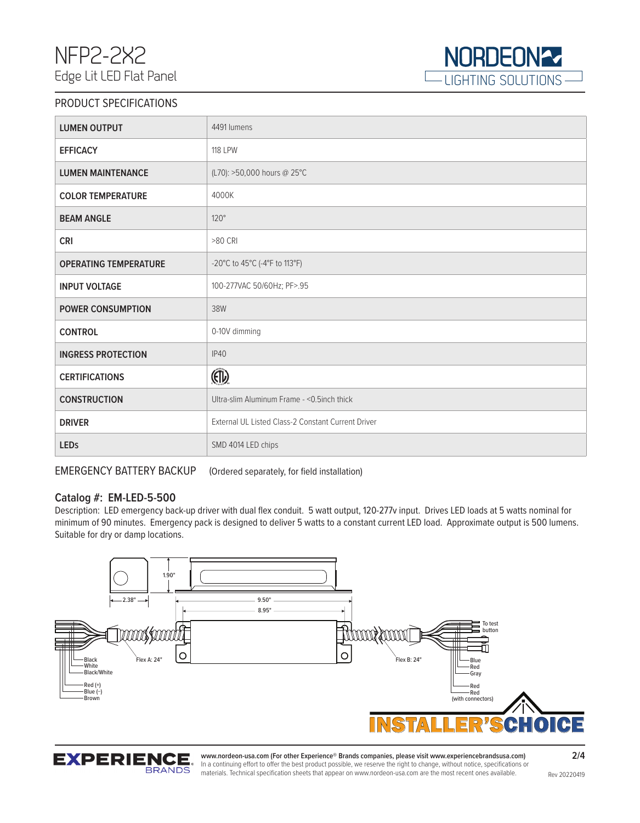

#### PRODUCT SPECIFICATIONS

| <b>LUMEN OUTPUT</b>          | 4491 lumens                                        |
|------------------------------|----------------------------------------------------|
| <b>EFFICACY</b>              | <b>118 LPW</b>                                     |
| <b>LUMEN MAINTENANCE</b>     | (L70): >50,000 hours @ 25°C                        |
| <b>COLOR TEMPERATURE</b>     | 4000K                                              |
| <b>BEAM ANGLE</b>            | $120^\circ$                                        |
| <b>CRI</b>                   | >80 CRI                                            |
| <b>OPERATING TEMPERATURE</b> | -20°C to 45°C (-4°F to 113°F)                      |
| <b>INPUT VOLTAGE</b>         | 100-277VAC 50/60Hz; PF>.95                         |
| <b>POWER CONSUMPTION</b>     | 38W                                                |
| <b>CONTROL</b>               | 0-10V dimming                                      |
| <b>INGRESS PROTECTION</b>    | IP40                                               |
| <b>CERTIFICATIONS</b>        | $\mathbb{F}$                                       |
| <b>CONSTRUCTION</b>          | Ultra-slim Aluminum Frame - < 0.5 inch thick       |
| <b>DRIVER</b>                | External UL Listed Class-2 Constant Current Driver |
| <b>LEDs</b>                  | SMD 4014 LED chips                                 |

EMERGENCY BATTERY BACKUP (Ordered separately, for field installation)

#### **Catalog #: EM-LED-5-500**

Description: LED emergency back-up driver with dual flex conduit. 5 watt output, 120-277v input. Drives LED loads at 5 watts nominal for minimum of 90 minutes. Emergency pack is designed to deliver 5 watts to a constant current LED load. Approximate output is 500 lumens. Suitable for dry or damp locations.



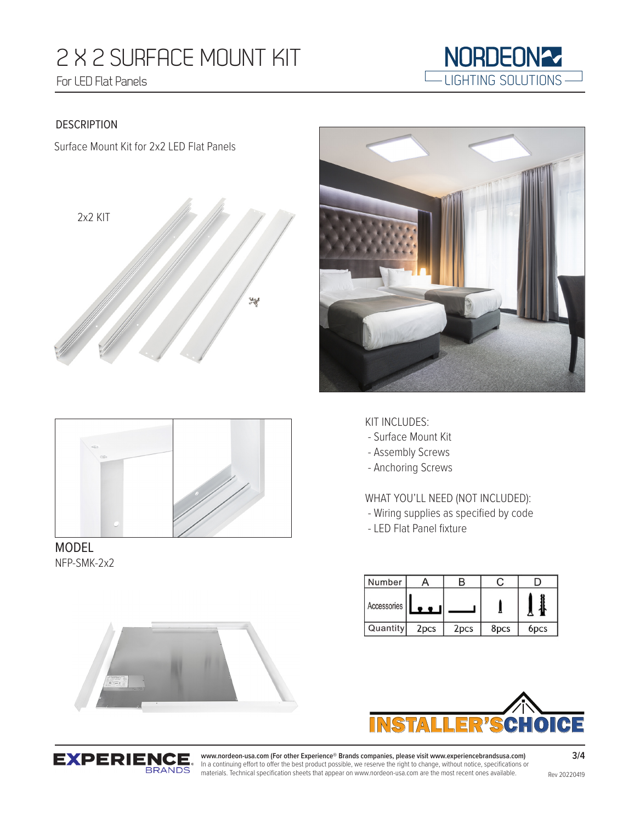# 2 X 2 SURFACE MOUNT KIT For LED Flat Panels



#### DESCRIPTION

Surface Mount Kit for 2x2 LED Flat Panels







MODEL NFP-SMK-2x2

#### KIT INCLUDES:

- Surface Mount Kit
- Assembly Screws
- Anchoring Screws

WHAT YOU'LL NEED (NOT INCLUDED):

- Wiring supplies as specified by code
- LED Flat Panel fixture